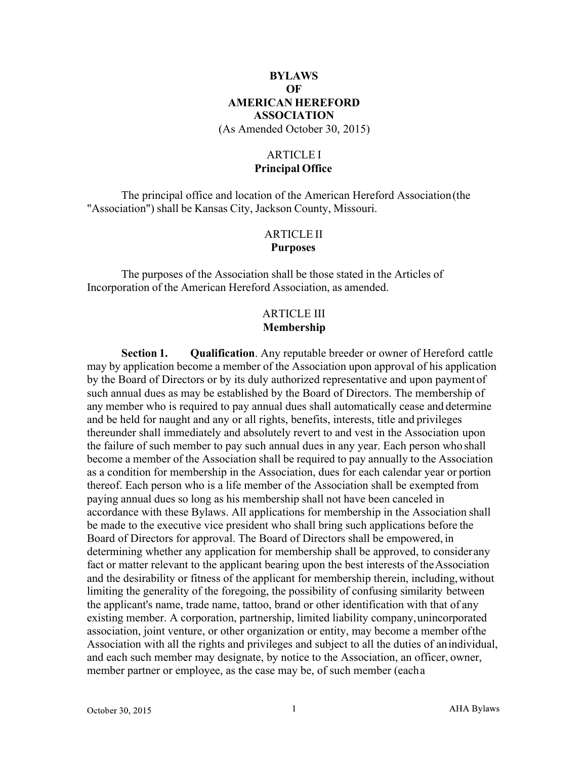# **BYLAWS OF AMERICAN HEREFORD ASSOCIATION**

(As Amended October 30, 2015)

# ARTICLE I **Principal Office**

The principal office and location of the American Hereford Association(the "Association") shall be Kansas City, Jackson County, Missouri.

# ARTICLE II **Purposes**

The purposes of the Association shall be those stated in the Articles of Incorporation of the American Hereford Association, as amended.

# ARTICLE III **Membership**

**Section 1. Qualification**. Any reputable breeder or owner of Hereford cattle may by application become a member of the Association upon approval of his application by the Board of Directors or by its duly authorized representative and upon payment of such annual dues as may be established by the Board of Directors. The membership of any member who is required to pay annual dues shall automatically cease and determine and be held for naught and any or all rights, benefits, interests, title and privileges thereunder shall immediately and absolutely revert to and vest in the Association upon the failure of such member to pay such annual dues in any year. Each person who shall become a member of the Association shall be required to pay annually to the Association as a condition for membership in the Association, dues for each calendar year or portion thereof. Each person who is a life member of the Association shall be exempted from paying annual dues so long as his membership shall not have been canceled in accordance with these Bylaws. All applications for membership in the Association shall be made to the executive vice president who shall bring such applications before the Board of Directors for approval. The Board of Directors shall be empowered, in determining whether any application for membership shall be approved, to considerany fact or matter relevant to the applicant bearing upon the best interests of theAssociation and the desirability or fitness of the applicant for membership therein, including,without limiting the generality of the foregoing, the possibility of confusing similarity between the applicant's name, trade name, tattoo, brand or other identification with that of any existing member. A corporation, partnership, limited liability company,unincorporated association, joint venture, or other organization or entity, may become a member ofthe Association with all the rights and privileges and subject to all the duties of anindividual, and each such member may designate, by notice to the Association, an officer, owner, member partner or employee, as the case may be, of such member (eacha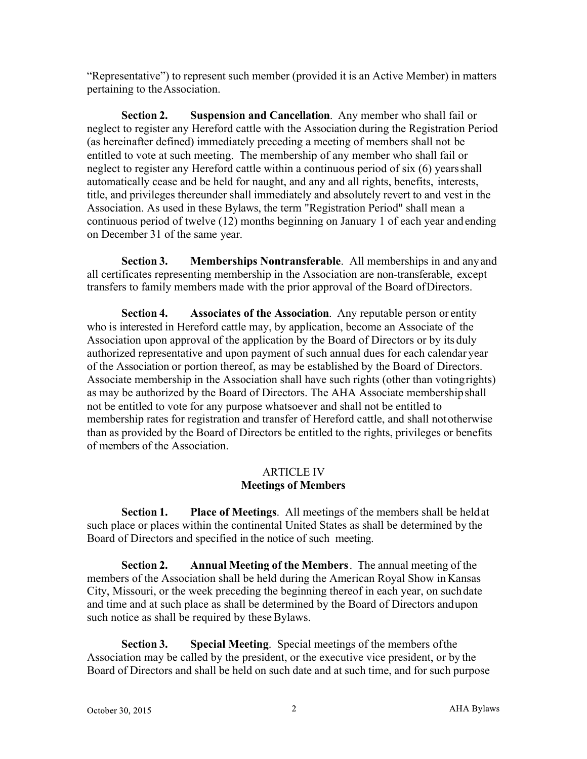"Representative") to represent such member (provided it is an Active Member) in matters pertaining to theAssociation.

**Section 2. Suspension and Cancellation**. Any member who shall fail or neglect to register any Hereford cattle with the Association during the Registration Period (as hereinafter defined) immediately preceding a meeting of members shall not be entitled to vote at such meeting. The membership of any member who shall fail or neglect to register any Hereford cattle within a continuous period of six (6) yearsshall automatically cease and be held for naught, and any and all rights, benefits, interests, title, and privileges thereunder shall immediately and absolutely revert to and vest in the Association. As used in these Bylaws, the term "Registration Period" shall mean a continuous period of twelve (12) months beginning on January 1 of each year and ending on December 31 of the same year.

**Section 3. Memberships Nontransferable**. All memberships in and anyand all certificates representing membership in the Association are non-transferable, except transfers to family members made with the prior approval of the Board ofDirectors.

**Section 4. Associates of the Association**. Any reputable person or entity who is interested in Hereford cattle may, by application, become an Associate of the Association upon approval of the application by the Board of Directors or by its duly authorized representative and upon payment of such annual dues for each calendar year of the Association or portion thereof, as may be established by the Board of Directors. Associate membership in the Association shall have such rights (other than votingrights) as may be authorized by the Board of Directors. The AHA Associate membershipshall not be entitled to vote for any purpose whatsoever and shall not be entitled to membership rates for registration and transfer of Hereford cattle, and shall nototherwise than as provided by the Board of Directors be entitled to the rights, privileges or benefits of members of the Association.

## ARTICLE IV **Meetings of Members**

**Section 1. Place of Meetings**. All meetings of the members shall be heldat such place or places within the continental United States as shall be determined by the Board of Directors and specified in the notice of such meeting.

**Section 2. Annual Meeting of the Members**. The annual meeting of the members of the Association shall be held during the American Royal Show in Kansas City, Missouri, or the week preceding the beginning thereof in each year, on suchdate and time and at such place as shall be determined by the Board of Directors andupon such notice as shall be required by these Bylaws.

**Section 3. Special Meeting**. Special meetings of the members ofthe Association may be called by the president, or the executive vice president, or by the Board of Directors and shall be held on such date and at such time, and for such purpose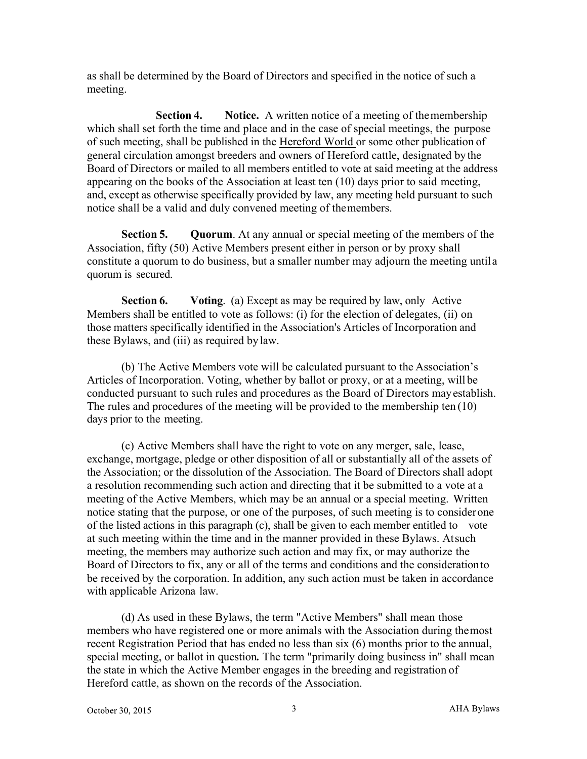as shall be determined by the Board of Directors and specified in the notice of such a meeting.

**Section 4. Notice.** A written notice of a meeting of the membership which shall set forth the time and place and in the case of special meetings, the purpose of such meeting, shall be published in the Hereford World or some other publication of general circulation amongst breeders and owners of Hereford cattle, designated bythe Board of Directors or mailed to all members entitled to vote at said meeting at the address appearing on the books of the Association at least ten (10) days prior to said meeting, and, except as otherwise specifically provided by law, any meeting held pursuant to such notice shall be a valid and duly convened meeting of themembers.

**Section 5. Quorum**. At any annual or special meeting of the members of the Association, fifty (50) Active Members present either in person or by proxy shall constitute a quorum to do business, but a smaller number may adjourn the meeting untila quorum is secured.

**Section 6. Voting**. (a) Except as may be required by law, only Active Members shall be entitled to vote as follows: (i) for the election of delegates, (ii) on those matters specifically identified in the Association's Articles of Incorporation and these Bylaws, and (iii) as required by law.

(b) The Active Members vote will be calculated pursuant to the Association's Articles of Incorporation. Voting, whether by ballot or proxy, or at a meeting, will be conducted pursuant to such rules and procedures as the Board of Directors mayestablish. The rules and procedures of the meeting will be provided to the membership ten (10) days prior to the meeting.

(c) Active Members shall have the right to vote on any merger, sale, lease, exchange, mortgage, pledge or other disposition of all or substantially all of the assets of the Association; or the dissolution of the Association. The Board of Directors shall adopt a resolution recommending such action and directing that it be submitted to a vote at a meeting of the Active Members, which may be an annual or a special meeting. Written notice stating that the purpose, or one of the purposes, of such meeting is to considerone of the listed actions in this paragraph (c), shall be given to each member entitled to vote at such meeting within the time and in the manner provided in these Bylaws. Atsuch meeting, the members may authorize such action and may fix, or may authorize the Board of Directors to fix, any or all of the terms and conditions and the considerationto be received by the corporation. In addition, any such action must be taken in accordance with applicable Arizona law.

(d) As used in these Bylaws, the term "Active Members" shall mean those members who have registered one or more animals with the Association during themost recent Registration Period that has ended no less than six (6) months prior to the annual, special meeting, or ballot in question*.* The term "primarily doing business in" shall mean the state in which the Active Member engages in the breeding and registration of Hereford cattle, as shown on the records of the Association.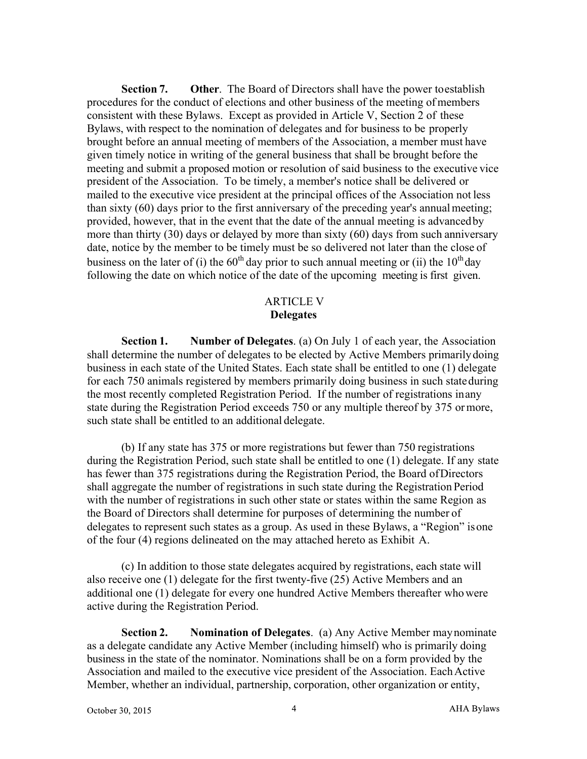**Section 7. Other**. The Board of Directors shall have the power toestablish procedures for the conduct of elections and other business of the meeting of members consistent with these Bylaws. Except as provided in Article V, Section 2 of these Bylaws, with respect to the nomination of delegates and for business to be properly brought before an annual meeting of members of the Association, a member must have given timely notice in writing of the general business that shall be brought before the meeting and submit a proposed motion or resolution of said business to the executive vice president of the Association. To be timely, a member's notice shall be delivered or mailed to the executive vice president at the principal offices of the Association not less than sixty (60) days prior to the first anniversary of the preceding year's annualmeeting; provided, however, that in the event that the date of the annual meeting is advancedby more than thirty (30) days or delayed by more than sixty (60) days from such anniversary date, notice by the member to be timely must be so delivered not later than the close of business on the later of (i) the  $60<sup>th</sup>$  day prior to such annual meeting or (ii) the  $10<sup>th</sup>$  day following the date on which notice of the date of the upcoming meeting is first given.

## ARTICLE V **Delegates**

**Section 1. Number of Delegates**. (a) On July 1 of each year, the Association shall determine the number of delegates to be elected by Active Members primarilydoing business in each state of the United States. Each state shall be entitled to one (1) delegate for each 750 animals registered by members primarily doing business in such stateduring the most recently completed Registration Period. If the number of registrations inany state during the Registration Period exceeds 750 or any multiple thereof by 375 ormore, such state shall be entitled to an additional delegate.

(b) If any state has 375 or more registrations but fewer than 750 registrations during the Registration Period, such state shall be entitled to one (1) delegate. If any state has fewer than 375 registrations during the Registration Period, the Board ofDirectors shall aggregate the number of registrations in such state during the Registration Period with the number of registrations in such other state or states within the same Region as the Board of Directors shall determine for purposes of determining the number of delegates to represent such states as a group. As used in these Bylaws, a "Region" isone of the four (4) regions delineated on the may attached hereto as Exhibit A.

(c) In addition to those state delegates acquired by registrations, each state will also receive one (1) delegate for the first twenty-five (25) Active Members and an additional one (1) delegate for every one hundred Active Members thereafter whowere active during the Registration Period.

**Section 2. Nomination of Delegates**. (a) Any Active Member maynominate as a delegate candidate any Active Member (including himself) who is primarily doing business in the state of the nominator. Nominations shall be on a form provided by the Association and mailed to the executive vice president of the Association. EachActive Member, whether an individual, partnership, corporation, other organization or entity,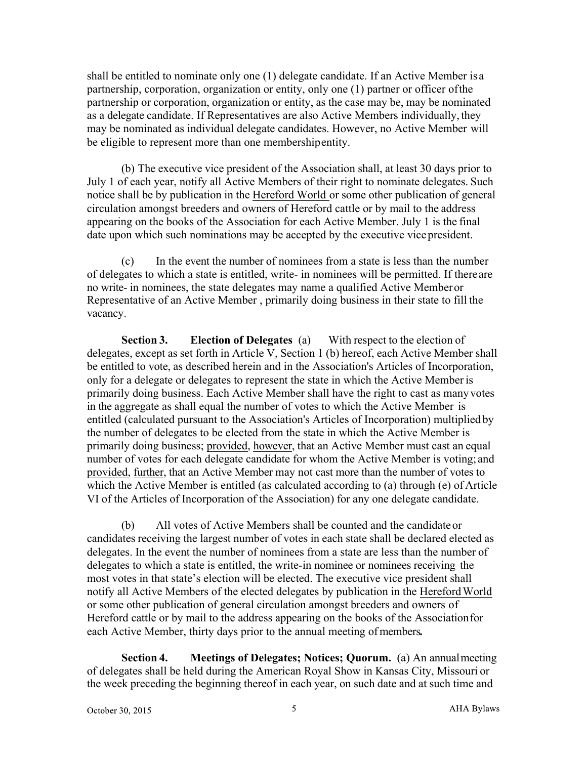shall be entitled to nominate only one (1) delegate candidate. If an Active Member is a partnership, corporation, organization or entity, only one (1) partner or officer ofthe partnership or corporation, organization or entity, as the case may be, may be nominated as a delegate candidate. If Representatives are also Active Members individually, they may be nominated as individual delegate candidates. However, no Active Member will be eligible to represent more than one membershipentity.

(b) The executive vice president of the Association shall, at least 30 days prior to July 1 of each year, notify all Active Members of their right to nominate delegates. Such notice shall be by publication in the Hereford World or some other publication of general circulation amongst breeders and owners of Hereford cattle or by mail to the address appearing on the books of the Association for each Active Member. July 1 is the final date upon which such nominations may be accepted by the executive vice president.

(c) In the event the number of nominees from a state is less than the number of delegates to which a state is entitled, write- in nominees will be permitted. If thereare no write- in nominees, the state delegates may name a qualified Active Memberor Representative of an Active Member , primarily doing business in their state to fill the vacancy.

**Section 3. Election of Delegates** (a) With respect to the election of delegates, except as set forth in Article V, Section 1 (b) hereof, each Active Member shall be entitled to vote, as described herein and in the Association's Articles of Incorporation, only for a delegate or delegates to represent the state in which the Active Memberis primarily doing business. Each Active Member shall have the right to cast as manyvotes in the aggregate as shall equal the number of votes to which the Active Member is entitled (calculated pursuant to the Association's Articles of Incorporation) multiplied by the number of delegates to be elected from the state in which the Active Member is primarily doing business; provided, however, that an Active Member must cast an equal number of votes for each delegate candidate for whom the Active Member is voting; and provided, further, that an Active Member may not cast more than the number of votes to which the Active Member is entitled (as calculated according to (a) through (e) of Article VI of the Articles of Incorporation of the Association) for any one delegate candidate.

(b) All votes of Active Members shall be counted and the candidateor candidates receiving the largest number of votes in each state shall be declared elected as delegates. In the event the number of nominees from a state are less than the number of delegates to which a state is entitled, the write-in nominee or nominees receiving the most votes in that state's election will be elected. The executive vice president shall notify all Active Members of the elected delegates by publication in the HerefordWorld or some other publication of general circulation amongst breeders and owners of Hereford cattle or by mail to the address appearing on the books of the Associationfor each Active Member, thirty days prior to the annual meeting of members.

**Section 4. Meetings of Delegates; Notices; Quorum.** (a) An annualmeeting of delegates shall be held during the American Royal Show in Kansas City, Missouri or the week preceding the beginning thereof in each year, on such date and at such time and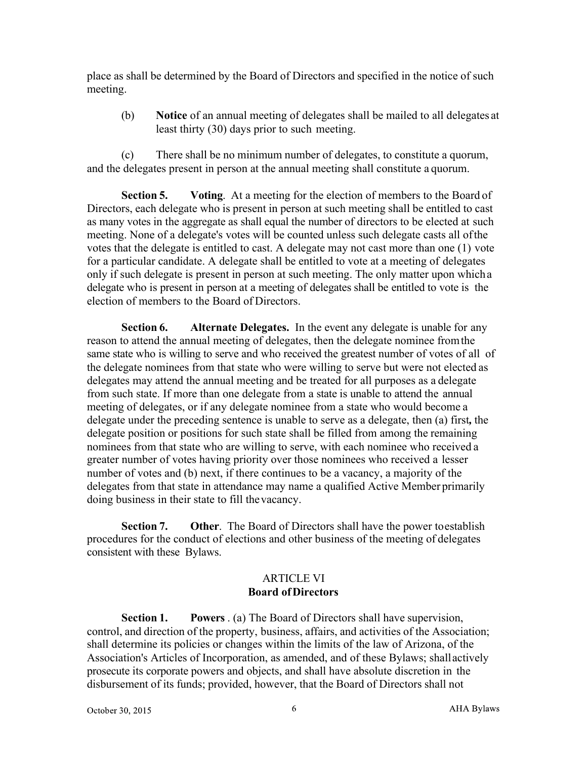place as shall be determined by the Board of Directors and specified in the notice of such meeting.

(b) **Notice** of an annual meeting of delegates shall be mailed to all delegates at least thirty (30) days prior to such meeting.

(c) There shall be no minimum number of delegates, to constitute a quorum, and the delegates present in person at the annual meeting shall constitute a quorum.

**Section 5. Voting**. At a meeting for the election of members to the Board of Directors, each delegate who is present in person at such meeting shall be entitled to cast as many votes in the aggregate as shall equal the number of directors to be elected at such meeting. None of a delegate's votes will be counted unless such delegate casts all ofthe votes that the delegate is entitled to cast. A delegate may not cast more than one (1) vote for a particular candidate. A delegate shall be entitled to vote at a meeting of delegates only if such delegate is present in person at such meeting. The only matter upon whicha delegate who is present in person at a meeting of delegates shall be entitled to vote is the election of members to the Board of Directors.

**Section 6. Alternate Delegates.** In the event any delegate is unable for any reason to attend the annual meeting of delegates, then the delegate nominee fromthe same state who is willing to serve and who received the greatest number of votes of all of the delegate nominees from that state who were willing to serve but were not elected as delegates may attend the annual meeting and be treated for all purposes as a delegate from such state. If more than one delegate from a state is unable to attend the annual meeting of delegates, or if any delegate nominee from a state who would become a delegate under the preceding sentence is unable to serve as a delegate, then (a) first*,* the delegate position or positions for such state shall be filled from among the remaining nominees from that state who are willing to serve, with each nominee who received a greater number of votes having priority over those nominees who received a lesser number of votes and (b) next, if there continues to be a vacancy, a majority of the delegates from that state in attendance may name a qualified Active Member primarily doing business in their state to fill thevacancy.

**Section 7. Other**. The Board of Directors shall have the power toestablish procedures for the conduct of elections and other business of the meeting of delegates consistent with these Bylaws.

# ARTICLE VI **Board ofDirectors**

**Section 1. Powers** . (a) The Board of Directors shall have supervision, control, and direction of the property, business, affairs, and activities of the Association; shall determine its policies or changes within the limits of the law of Arizona, of the Association's Articles of Incorporation, as amended, and of these Bylaws; shallactively prosecute its corporate powers and objects, and shall have absolute discretion in the disbursement of its funds; provided, however, that the Board of Directors shall not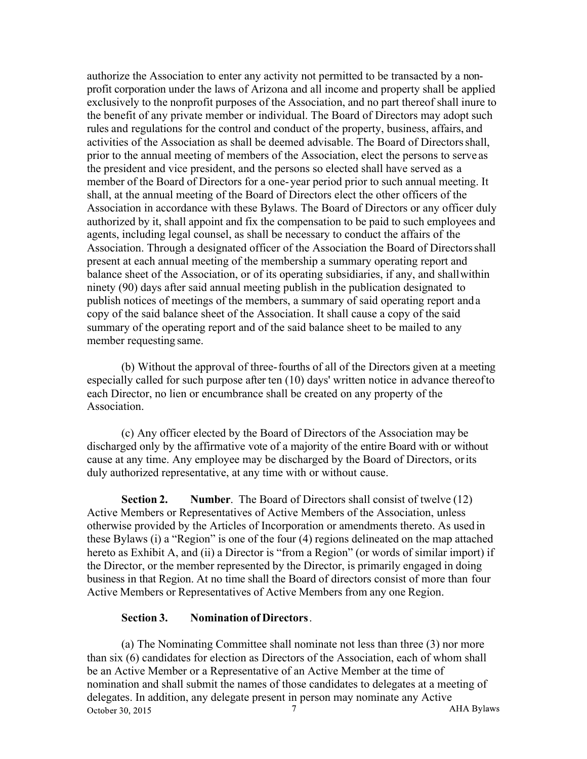authorize the Association to enter any activity not permitted to be transacted by a nonprofit corporation under the laws of Arizona and all income and property shall be applied exclusively to the nonprofit purposes of the Association, and no part thereof shall inure to the benefit of any private member or individual. The Board of Directors may adopt such rules and regulations for the control and conduct of the property, business, affairs, and activities of the Association as shall be deemed advisable. The Board of Directorsshall, prior to the annual meeting of members of the Association, elect the persons to serve as the president and vice president, and the persons so elected shall have served as a member of the Board of Directors for a one-year period prior to such annual meeting. It shall, at the annual meeting of the Board of Directors elect the other officers of the Association in accordance with these Bylaws. The Board of Directors or any officer duly authorized by it, shall appoint and fix the compensation to be paid to such employees and agents, including legal counsel, as shall be necessary to conduct the affairs of the Association. Through a designated officer of the Association the Board of Directorsshall present at each annual meeting of the membership a summary operating report and balance sheet of the Association, or of its operating subsidiaries, if any, and shallwithin ninety (90) days after said annual meeting publish in the publication designated to publish notices of meetings of the members, a summary of said operating report anda copy of the said balance sheet of the Association. It shall cause a copy of the said summary of the operating report and of the said balance sheet to be mailed to any member requesting same.

(b) Without the approval of three-fourths of all of the Directors given at a meeting especially called for such purpose after ten (10) days' written notice in advance thereofto each Director, no lien or encumbrance shall be created on any property of the Association.

(c) Any officer elected by the Board of Directors of the Association may be discharged only by the affirmative vote of a majority of the entire Board with or without cause at any time. Any employee may be discharged by the Board of Directors, orits duly authorized representative, at any time with or without cause.

**Section 2. Number**. The Board of Directors shall consist of twelve (12) Active Members or Representatives of Active Members of the Association, unless otherwise provided by the Articles of Incorporation or amendments thereto. As used in these Bylaws (i) a "Region" is one of the four (4) regions delineated on the map attached hereto as Exhibit A, and (ii) a Director is "from a Region" (or words of similar import) if the Director, or the member represented by the Director, is primarily engaged in doing business in that Region. At no time shall the Board of directors consist of more than four Active Members or Representatives of Active Members from any one Region.

#### **Section 3. Nomination of Directors**.

(a) The Nominating Committee shall nominate not less than three (3) nor more than six (6) candidates for election as Directors of the Association, each of whom shall be an Active Member or a Representative of an Active Member at the time of nomination and shall submit the names of those candidates to delegates at a meeting of delegates. In addition, any delegate present in person may nominate any Active **AHA Bylaws** October 30, 2015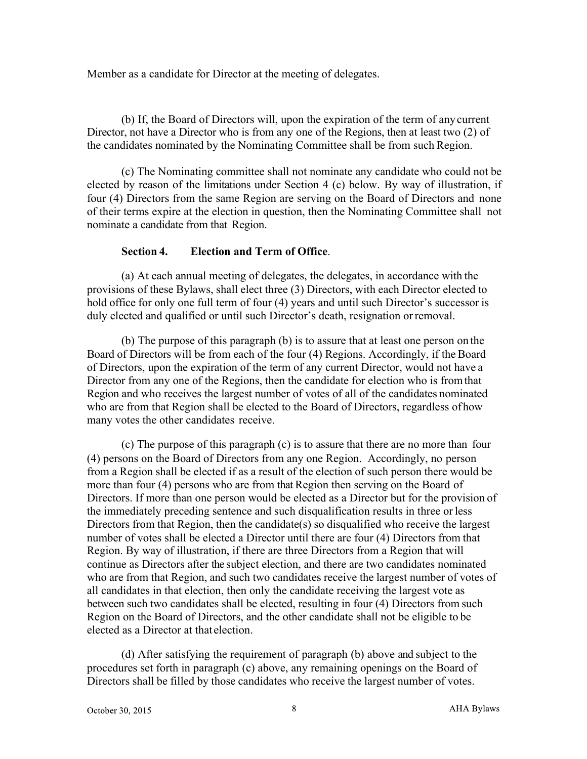Member as a candidate for Director at the meeting of delegates.

(b) If, the Board of Directors will, upon the expiration of the term of anycurrent Director, not have a Director who is from any one of the Regions, then at least two (2) of the candidates nominated by the Nominating Committee shall be from such Region.

(c) The Nominating committee shall not nominate any candidate who could not be elected by reason of the limitations under Section 4 (c) below. By way of illustration, if four (4) Directors from the same Region are serving on the Board of Directors and none of their terms expire at the election in question, then the Nominating Committee shall not nominate a candidate from that Region.

## **Section 4. Election and Term of Office**.

(a) At each annual meeting of delegates, the delegates, in accordance with the provisions of these Bylaws, shall elect three (3) Directors, with each Director elected to hold office for only one full term of four (4) years and until such Director's successor is duly elected and qualified or until such Director's death, resignation orremoval.

(b) The purpose of this paragraph (b) is to assure that at least one person on the Board of Directors will be from each of the four (4) Regions. Accordingly, if the Board of Directors, upon the expiration of the term of any current Director, would not have a Director from any one of the Regions, then the candidate for election who is fromthat Region and who receives the largest number of votes of all of the candidates nominated who are from that Region shall be elected to the Board of Directors, regardless ofhow many votes the other candidates receive.

(c) The purpose of this paragraph (c) is to assure that there are no more than four (4) persons on the Board of Directors from any one Region. Accordingly, no person from a Region shall be elected if as a result of the election of such person there would be more than four (4) persons who are from that Region then serving on the Board of Directors. If more than one person would be elected as a Director but for the provision of the immediately preceding sentence and such disqualification results in three or less Directors from that Region, then the candidate(s) so disqualified who receive the largest number of votes shall be elected a Director until there are four (4) Directors from that Region. By way of illustration, if there are three Directors from a Region that will continue as Directors after the subject election, and there are two candidates nominated who are from that Region, and such two candidates receive the largest number of votes of all candidates in that election, then only the candidate receiving the largest vote as between such two candidates shall be elected, resulting in four (4) Directors from such Region on the Board of Directors, and the other candidate shall not be eligible to be elected as a Director at that election.

(d) After satisfying the requirement of paragraph (b) above and subject to the procedures set forth in paragraph (c) above, any remaining openings on the Board of Directors shall be filled by those candidates who receive the largest number of votes.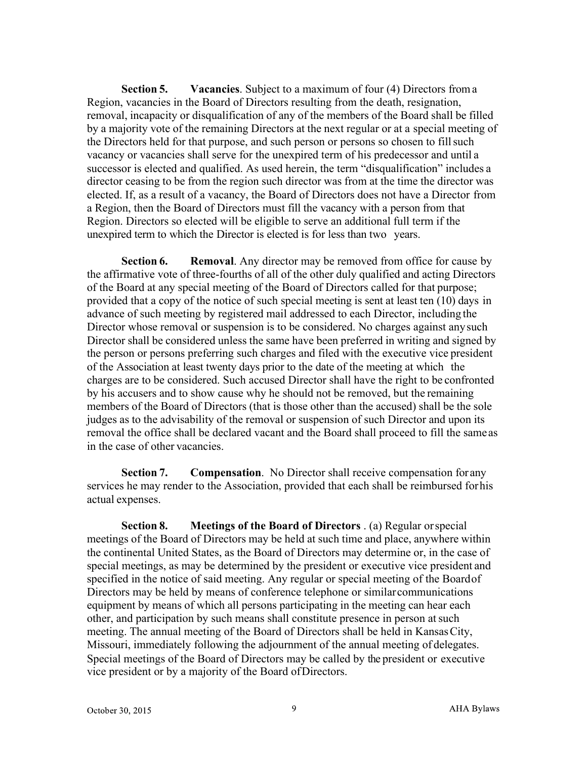**Section 5. Vacancies**. Subject to a maximum of four (4) Directors froma Region, vacancies in the Board of Directors resulting from the death, resignation, removal, incapacity or disqualification of any of the members of the Board shall be filled by a majority vote of the remaining Directors at the next regular or at a special meeting of the Directors held for that purpose, and such person or persons so chosen to fillsuch vacancy or vacancies shall serve for the unexpired term of his predecessor and until a successor is elected and qualified. As used herein, the term "disqualification" includes a director ceasing to be from the region such director was from at the time the director was elected. If, as a result of a vacancy, the Board of Directors does not have a Director from a Region, then the Board of Directors must fill the vacancy with a person from that Region. Directors so elected will be eligible to serve an additional full term if the unexpired term to which the Director is elected is for less than two years.

**Section 6. Removal**. Any director may be removed from office for cause by the affirmative vote of three-fourths of all of the other duly qualified and acting Directors of the Board at any special meeting of the Board of Directors called for that purpose; provided that a copy of the notice of such special meeting is sent at least ten (10) days in advance of such meeting by registered mail addressed to each Director, including the Director whose removal or suspension is to be considered. No charges against anysuch Director shall be considered unless the same have been preferred in writing and signed by the person or persons preferring such charges and filed with the executive vice president of the Association at least twenty days prior to the date of the meeting at which the charges are to be considered. Such accused Director shall have the right to be confronted by his accusers and to show cause why he should not be removed, but the remaining members of the Board of Directors (that is those other than the accused) shall be the sole judges as to the advisability of the removal or suspension of such Director and upon its removal the office shall be declared vacant and the Board shall proceed to fill the sameas in the case of other vacancies.

**Section 7. Compensation**. No Director shall receive compensation for any services he may render to the Association, provided that each shall be reimbursed forhis actual expenses.

**Section 8. Meetings of the Board of Directors** . (a) Regular orspecial meetings of the Board of Directors may be held at such time and place, anywhere within the continental United States, as the Board of Directors may determine or, in the case of special meetings, as may be determined by the president or executive vice president and specified in the notice of said meeting. Any regular or special meeting of the Boardof Directors may be held by means of conference telephone or similarcommunications equipment by means of which all persons participating in the meeting can hear each other, and participation by such means shall constitute presence in person atsuch meeting. The annual meeting of the Board of Directors shall be held in KansasCity, Missouri, immediately following the adjournment of the annual meeting of delegates. Special meetings of the Board of Directors may be called by the president or executive vice president or by a majority of the Board ofDirectors.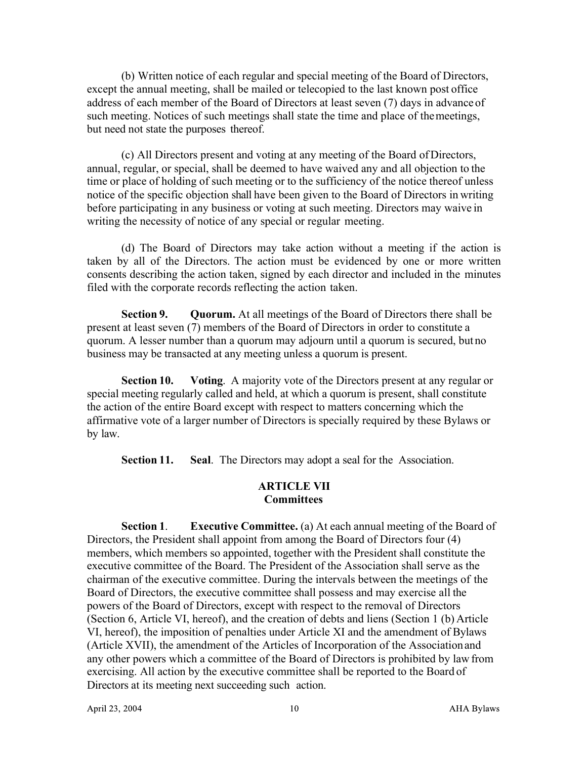(b) Written notice of each regular and special meeting of the Board of Directors, except the annual meeting, shall be mailed or telecopied to the last known post office address of each member of the Board of Directors at least seven (7) days in advance of such meeting. Notices of such meetings shall state the time and place of themeetings, but need not state the purposes thereof.

(c) All Directors present and voting at any meeting of the Board ofDirectors, annual, regular, or special, shall be deemed to have waived any and all objection to the time or place of holding of such meeting or to the sufficiency of the notice thereof unless notice of the specific objection shall have been given to the Board of Directors in writing before participating in any business or voting at such meeting. Directors may waive in writing the necessity of notice of any special or regular meeting.

(d) The Board of Directors may take action without a meeting if the action is taken by all of the Directors. The action must be evidenced by one or more written consents describing the action taken, signed by each director and included in the minutes filed with the corporate records reflecting the action taken.

**Section 9. Quorum.** At all meetings of the Board of Directors there shall be present at least seven (7) members of the Board of Directors in order to constitute a quorum. A lesser number than a quorum may adjourn until a quorum is secured, butno business may be transacted at any meeting unless a quorum is present.

**Section 10. Voting**. A majority vote of the Directors present at any regular or special meeting regularly called and held, at which a quorum is present, shall constitute the action of the entire Board except with respect to matters concerning which the affirmative vote of a larger number of Directors is specially required by these Bylaws or by law.

**Section 11. Seal**. The Directors may adopt a seal for the Association.

## **ARTICLE VII Committees**

**Section 1**. **Executive Committee.** (a) At each annual meeting of the Board of Directors, the President shall appoint from among the Board of Directors four (4) members, which members so appointed, together with the President shall constitute the executive committee of the Board. The President of the Association shall serve as the chairman of the executive committee. During the intervals between the meetings of the Board of Directors, the executive committee shall possess and may exercise all the powers of the Board of Directors, except with respect to the removal of Directors (Section 6, Article VI, hereof), and the creation of debts and liens (Section 1 (b) Article VI, hereof), the imposition of penalties under Article XI and the amendment of Bylaws (Article XVII), the amendment of the Articles of Incorporation of the Associationand any other powers which a committee of the Board of Directors is prohibited by lawfrom exercising. All action by the executive committee shall be reported to the Board of Directors at its meeting next succeeding such action.

April 23, 2004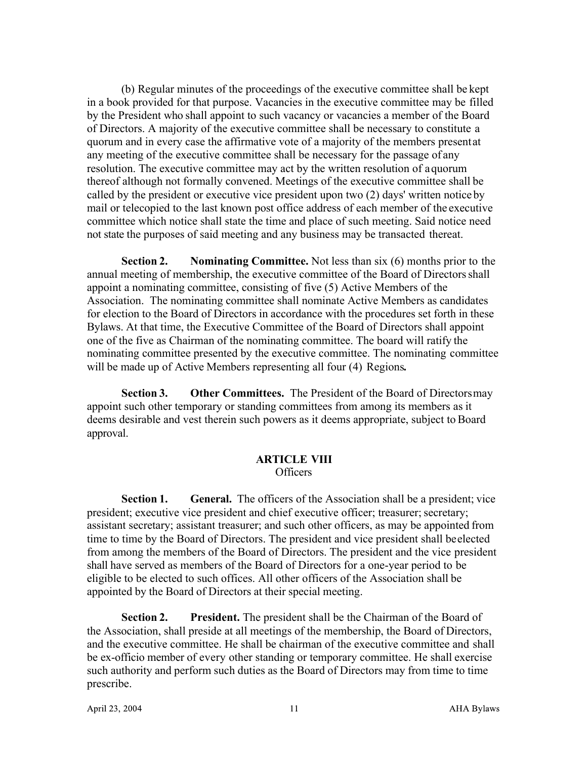(b) Regular minutes of the proceedings of the executive committee shall be kept in a book provided for that purpose. Vacancies in the executive committee may be filled by the President who shall appoint to such vacancy or vacancies a member of the Board of Directors. A majority of the executive committee shall be necessary to constitute a quorum and in every case the affirmative vote of a majority of the members presentat any meeting of the executive committee shall be necessary for the passage of any resolution. The executive committee may act by the written resolution of aquorum thereof although not formally convened. Meetings of the executive committee shall be called by the president or executive vice president upon two (2) days' written noticeby mail or telecopied to the last known post office address of each member of the executive committee which notice shall state the time and place of such meeting. Said notice need not state the purposes of said meeting and any business may be transacted thereat.

**Section 2. Nominating Committee.** Not less than six (6) months prior to the annual meeting of membership, the executive committee of the Board of Directorsshall appoint a nominating committee, consisting of five (5) Active Members of the Association. The nominating committee shall nominate Active Members as candidates for election to the Board of Directors in accordance with the procedures set forth in these Bylaws. At that time, the Executive Committee of the Board of Directors shall appoint one of the five as Chairman of the nominating committee. The board will ratify the nominating committee presented by the executive committee. The nominating committee will be made up of Active Members representing all four (4) Regions*.*

**Section 3. Other Committees.** The President of the Board of Directorsmay appoint such other temporary or standing committees from among its members as it deems desirable and vest therein such powers as it deems appropriate, subject to Board approval.

#### **ARTICLE VIII** Officers

**Section 1. General.** The officers of the Association shall be a president; vice president; executive vice president and chief executive officer; treasurer; secretary; assistant secretary; assistant treasurer; and such other officers, as may be appointed from time to time by the Board of Directors. The president and vice president shall beelected from among the members of the Board of Directors. The president and the vice president shall have served as members of the Board of Directors for a one-year period to be eligible to be elected to such offices. All other officers of the Association shall be appointed by the Board of Directors at their special meeting.

**Section 2. President.** The president shall be the Chairman of the Board of the Association, shall preside at all meetings of the membership, the Board of Directors, and the executive committee. He shall be chairman of the executive committee and shall be ex-officio member of every other standing or temporary committee. He shall exercise such authority and perform such duties as the Board of Directors may from time to time prescribe.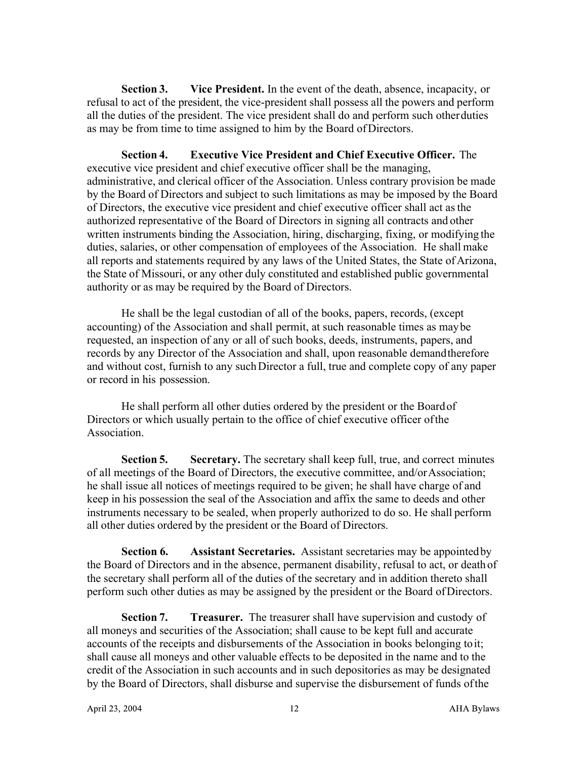**Section 3. Vice President.** In the event of the death, absence, incapacity, or refusal to act of the president, the vice-president shall possess all the powers and perform all the duties of the president. The vice president shall do and perform such otherduties as may be from time to time assigned to him by the Board ofDirectors.

**Section 4. Executive Vice President and Chief Executive Officer.** The executive vice president and chief executive officer shall be the managing, administrative, and clerical officer of the Association. Unless contrary provision be made by the Board of Directors and subject to such limitations as may be imposed by the Board of Directors, the executive vice president and chief executive officer shall act asthe authorized representative of the Board of Directors in signing all contracts and other written instruments binding the Association, hiring, discharging, fixing, or modifying the duties, salaries, or other compensation of employees of the Association. He shall make all reports and statements required by any laws of the United States, the State ofArizona, the State of Missouri, or any other duly constituted and established public governmental authority or as may be required by the Board of Directors.

He shall be the legal custodian of all of the books, papers, records, (except accounting) of the Association and shall permit, at such reasonable times as maybe requested, an inspection of any or all of such books, deeds, instruments, papers, and records by any Director of the Association and shall, upon reasonable demandtherefore and without cost, furnish to any suchDirector a full, true and complete copy of any paper or record in his possession.

He shall perform all other duties ordered by the president or the Boardof Directors or which usually pertain to the office of chief executive officer ofthe Association.

**Section 5. Secretary.** The secretary shall keep full, true, and correct minutes of all meetings of the Board of Directors, the executive committee, and/orAssociation; he shall issue all notices of meetings required to be given; he shall have charge of and keep in his possession the seal of the Association and affix the same to deeds and other instruments necessary to be sealed, when properly authorized to do so. He shall perform all other duties ordered by the president or the Board of Directors.

**Section 6. Assistant Secretaries.** Assistant secretaries may be appointedby the Board of Directors and in the absence, permanent disability, refusal to act, or deathof the secretary shall perform all of the duties of the secretary and in addition thereto shall perform such other duties as may be assigned by the president or the Board ofDirectors.

**Section 7. Treasurer.** The treasurer shall have supervision and custody of all moneys and securities of the Association; shall cause to be kept full and accurate accounts of the receipts and disbursements of the Association in books belonging toit; shall cause all moneys and other valuable effects to be deposited in the name and to the credit of the Association in such accounts and in such depositories as may be designated by the Board of Directors, shall disburse and supervise the disbursement of funds ofthe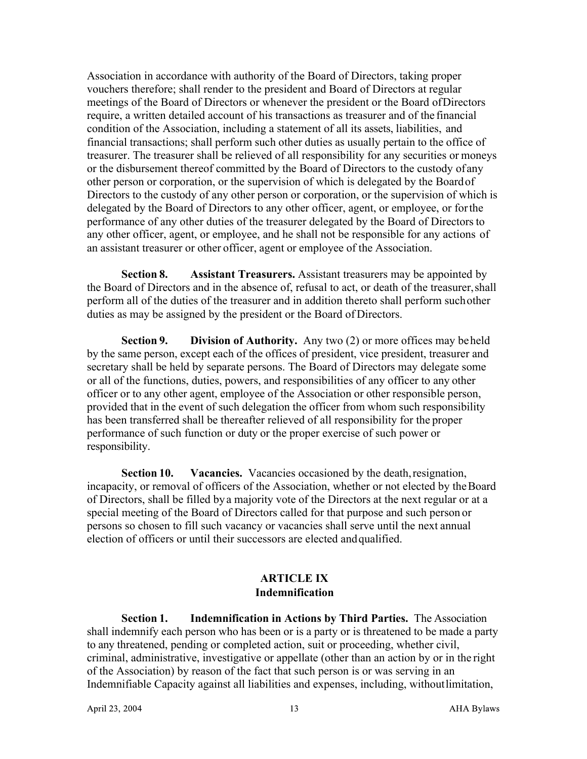Association in accordance with authority of the Board of Directors, taking proper vouchers therefore; shall render to the president and Board of Directors at regular meetings of the Board of Directors or whenever the president or the Board ofDirectors require, a written detailed account of his transactions as treasurer and of the financial condition of the Association, including a statement of all its assets, liabilities, and financial transactions; shall perform such other duties as usually pertain to the office of treasurer. The treasurer shall be relieved of all responsibility for any securities or moneys or the disbursement thereof committed by the Board of Directors to the custody of any other person or corporation, or the supervision of which is delegated by the Boardof Directors to the custody of any other person or corporation, or the supervision of which is delegated by the Board of Directors to any other officer, agent, or employee, or forthe performance of any other duties of the treasurer delegated by the Board of Directorsto any other officer, agent, or employee, and he shall not be responsible for any actions of an assistant treasurer or other officer, agent or employee of the Association.

**Section 8. Assistant Treasurers.** Assistant treasurers may be appointed by the Board of Directors and in the absence of, refusal to act, or death of the treasurer,shall perform all of the duties of the treasurer and in addition thereto shall perform suchother duties as may be assigned by the president or the Board of Directors.

**Section 9. Division of Authority.** Any two (2) or more offices may beheld by the same person, except each of the offices of president, vice president, treasurer and secretary shall be held by separate persons. The Board of Directors may delegate some or all of the functions, duties, powers, and responsibilities of any officer to any other officer or to any other agent, employee of the Association or other responsible person, provided that in the event of such delegation the officer from whom such responsibility has been transferred shall be thereafter relieved of all responsibility for the proper performance of such function or duty or the proper exercise of such power or responsibility.

**Section 10. Vacancies.** Vacancies occasioned by the death, resignation, incapacity, or removal of officers of the Association, whether or not elected by theBoard of Directors, shall be filled by a majority vote of the Directors at the next regular or at a special meeting of the Board of Directors called for that purpose and such person or persons so chosen to fill such vacancy or vacancies shall serve until the next annual election of officers or until their successors are elected andqualified.

# **ARTICLE IX Indemnification**

**Section 1. Indemnification in Actions by Third Parties.** The Association shall indemnify each person who has been or is a party or is threatened to be made a party to any threatened, pending or completed action, suit or proceeding, whether civil, criminal, administrative, investigative or appellate (other than an action by or in the right of the Association) by reason of the fact that such person is or was serving in an Indemnifiable Capacity against all liabilities and expenses, including, withoutlimitation,

13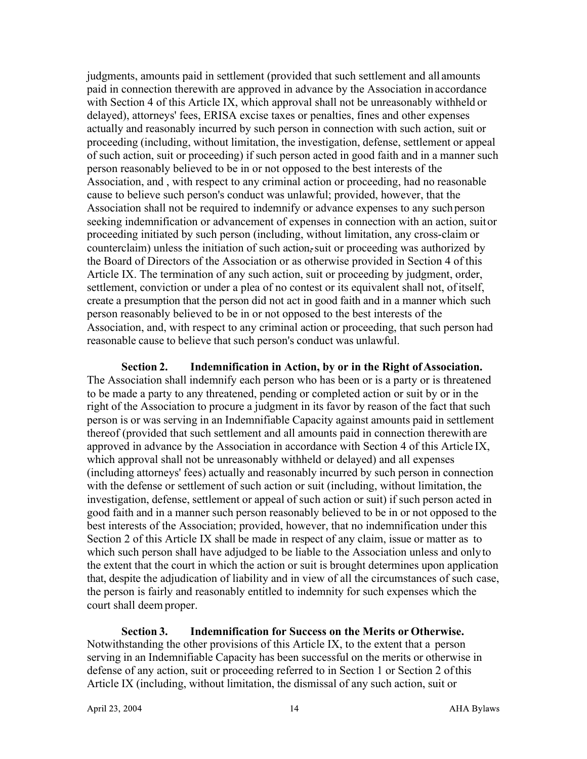judgments, amounts paid in settlement (provided that such settlement and all amounts paid in connection therewith are approved in advance by the Association in accordance with Section 4 of this Article IX, which approval shall not be unreasonably withheld or delayed), attorneys' fees, ERISA excise taxes or penalties, fines and other expenses actually and reasonably incurred by such person in connection with such action, suit or proceeding (including, without limitation, the investigation, defense, settlement or appeal of such action, suit or proceeding) if such person acted in good faith and in a manner such person reasonably believed to be in or not opposed to the best interests of the Association, and , with respect to any criminal action or proceeding, had no reasonable cause to believe such person's conduct was unlawful; provided, however, that the Association shall not be required to indemnify or advance expenses to any suchperson seeking indemnification or advancement of expenses in connection with an action, suitor proceeding initiated by such person (including, without limitation, any cross-claim or counterclaim) unless the initiation of such action, suit or proceeding was authorized by the Board of Directors of the Association or as otherwise provided in Section 4 of this Article IX. The termination of any such action, suit or proceeding by judgment, order, settlement, conviction or under a plea of no contest or its equivalent shall not, ofitself, create a presumption that the person did not act in good faith and in a manner which such person reasonably believed to be in or not opposed to the best interests of the Association, and, with respect to any criminal action or proceeding, that such person had reasonable cause to believe that such person's conduct was unlawful.

**Section 2.** Indemnification in Action, by or in the Right of Association. The Association shall indemnify each person who has been or is a party or is threatened to be made a party to any threatened, pending or completed action or suit by or in the right of the Association to procure a judgment in its favor by reason of the fact that such person is or was serving in an Indemnifiable Capacity against amounts paid in settlement thereof (provided that such settlement and all amounts paid in connection therewith are approved in advance by the Association in accordance with Section 4 of this Article IX, which approval shall not be unreasonably withheld or delayed) and all expenses (including attorneys' fees) actually and reasonably incurred by such person in connection with the defense or settlement of such action or suit (including, without limitation, the investigation, defense, settlement or appeal of such action or suit) if such person acted in good faith and in a manner such person reasonably believed to be in or not opposed to the best interests of the Association; provided, however, that no indemnification under this Section 2 of this Article IX shall be made in respect of any claim, issue or matter as to which such person shall have adjudged to be liable to the Association unless and onlyto the extent that the court in which the action or suit is brought determines upon application that, despite the adjudication of liability and in view of all the circumstances of such case, the person is fairly and reasonably entitled to indemnity for such expenses which the court shall deem proper.

**Section 3. Indemnification for Success on the Merits or Otherwise.**  Notwithstanding the other provisions of this Article IX, to the extent that a person serving in an Indemnifiable Capacity has been successful on the merits or otherwise in defense of any action, suit or proceeding referred to in Section 1 or Section 2 ofthis Article IX (including, without limitation, the dismissal of any such action, suit or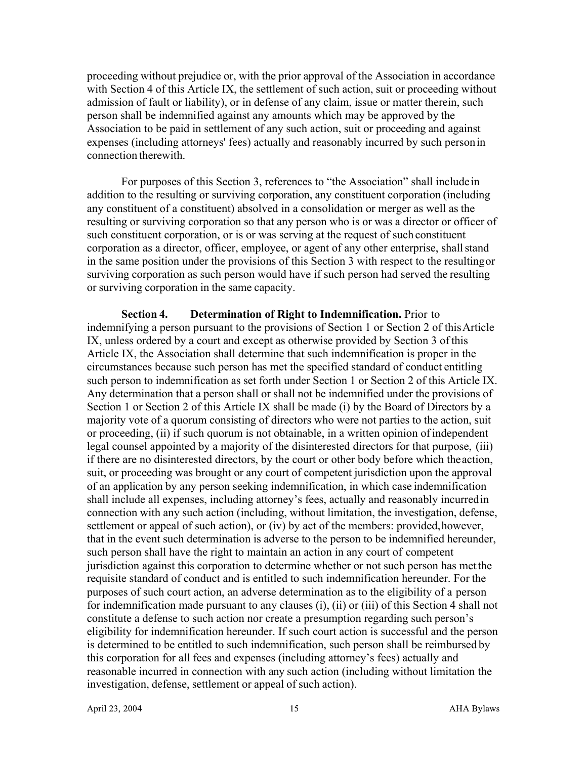proceeding without prejudice or, with the prior approval of the Association in accordance with Section 4 of this Article IX, the settlement of such action, suit or proceeding without admission of fault or liability), or in defense of any claim, issue or matter therein, such person shall be indemnified against any amounts which may be approved by the Association to be paid in settlement of any such action, suit or proceeding and against expenses (including attorneys' fees) actually and reasonably incurred by such personin connection therewith.

For purposes of this Section 3, references to "the Association" shall includein addition to the resulting or surviving corporation, any constituent corporation (including any constituent of a constituent) absolved in a consolidation or merger as well as the resulting or surviving corporation so that any person who is or was a director or officer of such constituent corporation, or is or was serving at the request of such constituent corporation as a director, officer, employee, or agent of any other enterprise, shallstand in the same position under the provisions of this Section 3 with respect to the resultingor surviving corporation as such person would have if such person had served the resulting or surviving corporation in the same capacity.

**Section 4. Determination of Right to Indemnification.** Prior to indemnifying a person pursuant to the provisions of Section 1 or Section 2 of thisArticle IX, unless ordered by a court and except as otherwise provided by Section 3 of this Article IX, the Association shall determine that such indemnification is proper in the circumstances because such person has met the specified standard of conduct entitling such person to indemnification as set forth under Section 1 or Section 2 of this Article IX. Any determination that a person shall or shall not be indemnified under the provisions of Section 1 or Section 2 of this Article IX shall be made (i) by the Board of Directors by a majority vote of a quorum consisting of directors who were not parties to the action, suit or proceeding, (ii) if such quorum is not obtainable, in a written opinion ofindependent legal counsel appointed by a majority of the disinterested directors for that purpose, (iii) if there are no disinterested directors, by the court or other body before which theaction, suit, or proceeding was brought or any court of competent jurisdiction upon the approval of an application by any person seeking indemnification, in which case indemnification shall include all expenses, including attorney's fees, actually and reasonably incurredin connection with any such action (including, without limitation, the investigation, defense, settlement or appeal of such action), or (iv) by act of the members: provided,however, that in the event such determination is adverse to the person to be indemnified hereunder, such person shall have the right to maintain an action in any court of competent jurisdiction against this corporation to determine whether or not such person has metthe requisite standard of conduct and is entitled to such indemnification hereunder. For the purposes of such court action, an adverse determination as to the eligibility of a person for indemnification made pursuant to any clauses (i), (ii) or (iii) of this Section 4 shall not constitute a defense to such action nor create a presumption regarding such person's eligibility for indemnification hereunder. If such court action is successful and the person is determined to be entitled to such indemnification, such person shall be reimbursed by this corporation for all fees and expenses (including attorney's fees) actually and reasonable incurred in connection with any such action (including without limitation the investigation, defense, settlement or appeal of such action).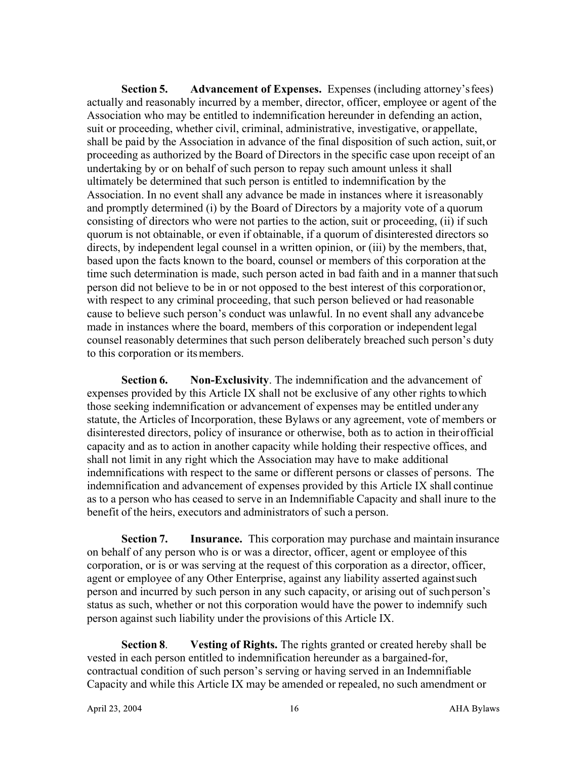**Section 5. Advancement of Expenses.** Expenses (including attorney'sfees) actually and reasonably incurred by a member, director, officer, employee or agent of the Association who may be entitled to indemnification hereunder in defending an action, suit or proceeding, whether civil, criminal, administrative, investigative, or appellate, shall be paid by the Association in advance of the final disposition of such action, suit,or proceeding as authorized by the Board of Directors in the specific case upon receipt of an undertaking by or on behalf of such person to repay such amount unless it shall ultimately be determined that such person is entitled to indemnification by the Association. In no event shall any advance be made in instances where it isreasonably and promptly determined (i) by the Board of Directors by a majority vote of a quorum consisting of directors who were not parties to the action, suit or proceeding, (ii) if such quorum is not obtainable, or even if obtainable, if a quorum of disinterested directors so directs, by independent legal counsel in a written opinion, or (iii) by the members, that, based upon the facts known to the board, counsel or members of this corporation at the time such determination is made, such person acted in bad faith and in a manner thatsuch person did not believe to be in or not opposed to the best interest of this corporationor, with respect to any criminal proceeding, that such person believed or had reasonable cause to believe such person's conduct was unlawful. In no event shall any advancebe made in instances where the board, members of this corporation or independent legal counsel reasonably determines that such person deliberately breached such person's duty to this corporation or itsmembers.

**Section 6. Non-Exclusivity**. The indemnification and the advancement of expenses provided by this Article IX shall not be exclusive of any other rights towhich those seeking indemnification or advancement of expenses may be entitled under any statute, the Articles of Incorporation, these Bylaws or any agreement, vote of members or disinterested directors, policy of insurance or otherwise, both as to action in theirofficial capacity and as to action in another capacity while holding their respective offices, and shall not limit in any right which the Association may have to make additional indemnifications with respect to the same or different persons or classes of persons. The indemnification and advancement of expenses provided by this Article IX shall continue as to a person who has ceased to serve in an Indemnifiable Capacity and shall inure to the benefit of the heirs, executors and administrators of such a person.

**Section 7. Insurance.** This corporation may purchase and maintain insurance on behalf of any person who is or was a director, officer, agent or employee of this corporation, or is or was serving at the request of this corporation as a director, officer, agent or employee of any Other Enterprise, against any liability asserted againstsuch person and incurred by such person in any such capacity, or arising out of suchperson's status as such, whether or not this corporation would have the power to indemnify such person against such liability under the provisions of this Article IX.

**Section 8**. **Vesting of Rights.** The rights granted or created hereby shall be vested in each person entitled to indemnification hereunder as a bargained-for, contractual condition of such person's serving or having served in an Indemnifiable Capacity and while this Article IX may be amended or repealed, no such amendment or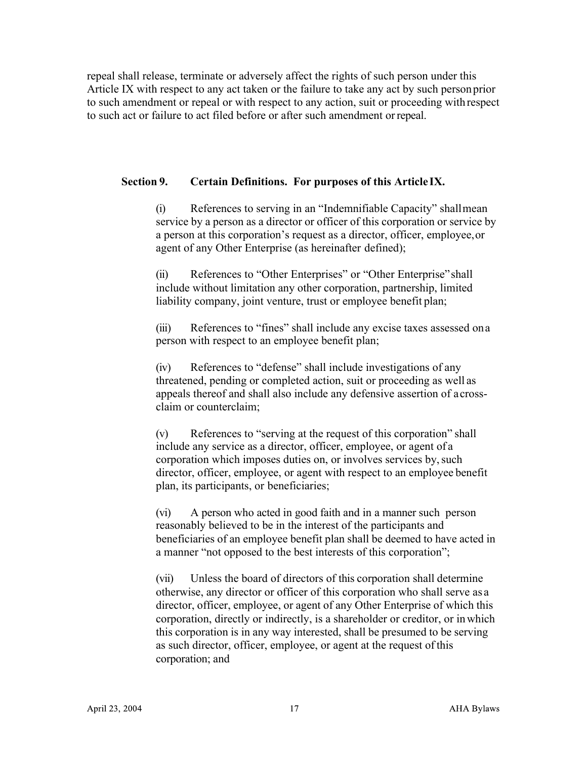repeal shall release, terminate or adversely affect the rights of such person under this Article IX with respect to any act taken or the failure to take any act by such personprior to such amendment or repeal or with respect to any action, suit or proceeding with respect to such act or failure to act filed before or after such amendment orrepeal.

## **Section 9. Certain Definitions. For purposes of this Article IX.**

(i) References to serving in an "Indemnifiable Capacity" shallmean service by a person as a director or officer of this corporation or service by a person at this corporation's request as a director, officer, employee,or agent of any Other Enterprise (as hereinafter defined);

(ii) References to "Other Enterprises" or "Other Enterprise"shall include without limitation any other corporation, partnership, limited liability company, joint venture, trust or employee benefit plan;

(iii) References to "fines" shall include any excise taxes assessed ona person with respect to an employee benefit plan;

(iv) References to "defense" shall include investigations of any threatened, pending or completed action, suit or proceeding as well as appeals thereof and shall also include any defensive assertion of acrossclaim or counterclaim;

(v) References to "serving at the request of this corporation" shall include any service as a director, officer, employee, or agent of a corporation which imposes duties on, or involves services by, such director, officer, employee, or agent with respect to an employee benefit plan, its participants, or beneficiaries;

(vi) A person who acted in good faith and in a manner such person reasonably believed to be in the interest of the participants and beneficiaries of an employee benefit plan shall be deemed to have acted in a manner "not opposed to the best interests of this corporation";

(vii) Unless the board of directors of this corporation shall determine otherwise, any director or officer of this corporation who shall serve as a director, officer, employee, or agent of any Other Enterprise of which this corporation, directly or indirectly, is a shareholder or creditor, or inwhich this corporation is in any way interested, shall be presumed to be serving as such director, officer, employee, or agent at the request of this corporation; and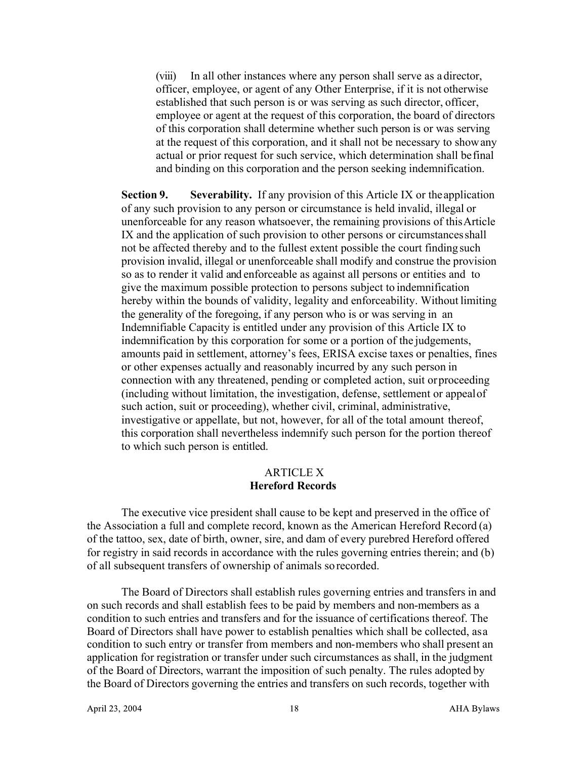(viii) In all other instances where any person shall serve as a director, officer, employee, or agent of any Other Enterprise, if it is not otherwise established that such person is or was serving as such director, officer, employee or agent at the request of this corporation, the board of directors of this corporation shall determine whether such person is or was serving at the request of this corporation, and it shall not be necessary to showany actual or prior request for such service, which determination shall befinal and binding on this corporation and the person seeking indemnification.

**Section 9. Severability.** If any provision of this Article IX or theapplication of any such provision to any person or circumstance is held invalid, illegal or unenforceable for any reason whatsoever, the remaining provisions of thisArticle IX and the application of such provision to other persons or circumstancesshall not be affected thereby and to the fullest extent possible the court finding such provision invalid, illegal or unenforceable shall modify and construe the provision so as to render it valid and enforceable as against all persons or entities and to give the maximum possible protection to persons subject to indemnification hereby within the bounds of validity, legality and enforceability. Without limiting the generality of the foregoing, if any person who is or was serving in an Indemnifiable Capacity is entitled under any provision of this Article IX to indemnification by this corporation for some or a portion of the judgements, amounts paid in settlement, attorney's fees, ERISA excise taxes or penalties, fines or other expenses actually and reasonably incurred by any such person in connection with any threatened, pending or completed action, suit orproceeding (including without limitation, the investigation, defense, settlement or appealof such action, suit or proceeding), whether civil, criminal, administrative, investigative or appellate, but not, however, for all of the total amount thereof, this corporation shall nevertheless indemnify such person for the portion thereof to which such person is entitled.

#### ARTICLE X **Hereford Records**

The executive vice president shall cause to be kept and preserved in the office of the Association a full and complete record, known as the American Hereford Record (a) of the tattoo, sex, date of birth, owner, sire, and dam of every purebred Hereford offered for registry in said records in accordance with the rules governing entries therein; and (b) of all subsequent transfers of ownership of animals so recorded.

The Board of Directors shall establish rules governing entries and transfers in and on such records and shall establish fees to be paid by members and non-members as a condition to such entries and transfers and for the issuance of certifications thereof. The Board of Directors shall have power to establish penalties which shall be collected, asa condition to such entry or transfer from members and non-members who shall present an application for registration or transfer under such circumstances as shall, in the judgment of the Board of Directors, warrant the imposition of such penalty. The rules adopted by the Board of Directors governing the entries and transfers on such records, together with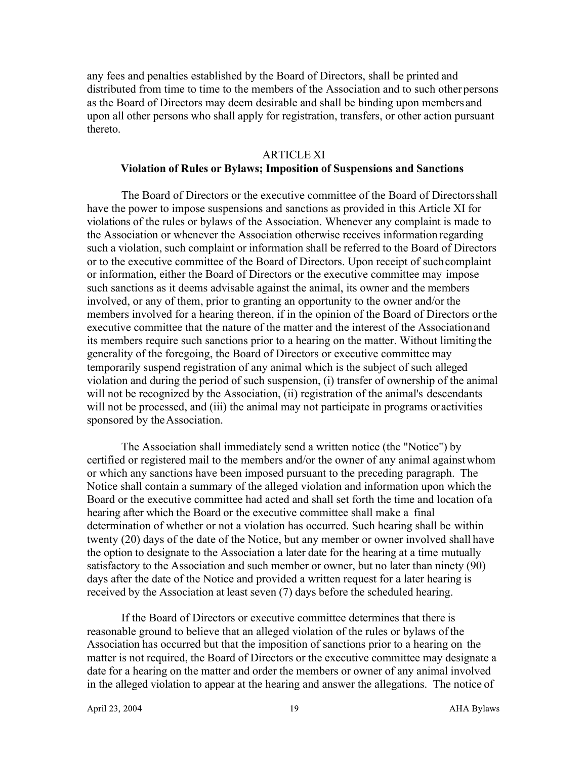any fees and penalties established by the Board of Directors, shall be printed and distributed from time to time to the members of the Association and to such other persons as the Board of Directors may deem desirable and shall be binding upon members and upon all other persons who shall apply for registration, transfers, or other action pursuant thereto.

#### ARTICLE XI

### **Violation of Rules or Bylaws; Imposition of Suspensions and Sanctions**

The Board of Directors or the executive committee of the Board of Directorsshall have the power to impose suspensions and sanctions as provided in this Article XI for violations of the rules or bylaws of the Association. Whenever any complaint is made to the Association or whenever the Association otherwise receives information regarding such a violation, such complaint or information shall be referred to the Board of Directors or to the executive committee of the Board of Directors. Upon receipt of suchcomplaint or information, either the Board of Directors or the executive committee may impose such sanctions as it deems advisable against the animal, its owner and the members involved, or any of them, prior to granting an opportunity to the owner and/or the members involved for a hearing thereon, if in the opinion of the Board of Directors orthe executive committee that the nature of the matter and the interest of the Associationand its members require such sanctions prior to a hearing on the matter. Without limitingthe generality of the foregoing, the Board of Directors or executive committee may temporarily suspend registration of any animal which is the subject of such alleged violation and during the period of such suspension, (i) transfer of ownership of the animal will not be recognized by the Association, (ii) registration of the animal's descendants will not be processed, and (iii) the animal may not participate in programs oractivities sponsored by theAssociation.

The Association shall immediately send a written notice (the "Notice") by certified or registered mail to the members and/or the owner of any animal againstwhom or which any sanctions have been imposed pursuant to the preceding paragraph. The Notice shall contain a summary of the alleged violation and information upon which the Board or the executive committee had acted and shall set forth the time and location ofa hearing after which the Board or the executive committee shall make a final determination of whether or not a violation has occurred. Such hearing shall be within twenty (20) days of the date of the Notice, but any member or owner involved shall have the option to designate to the Association a later date for the hearing at a time mutually satisfactory to the Association and such member or owner, but no later than ninety (90) days after the date of the Notice and provided a written request for a later hearing is received by the Association at least seven (7) days before the scheduled hearing.

If the Board of Directors or executive committee determines that there is reasonable ground to believe that an alleged violation of the rules or bylaws of the Association has occurred but that the imposition of sanctions prior to a hearing on the matter is not required, the Board of Directors or the executive committee may designate a date for a hearing on the matter and order the members or owner of any animal involved in the alleged violation to appear at the hearing and answer the allegations. The notice of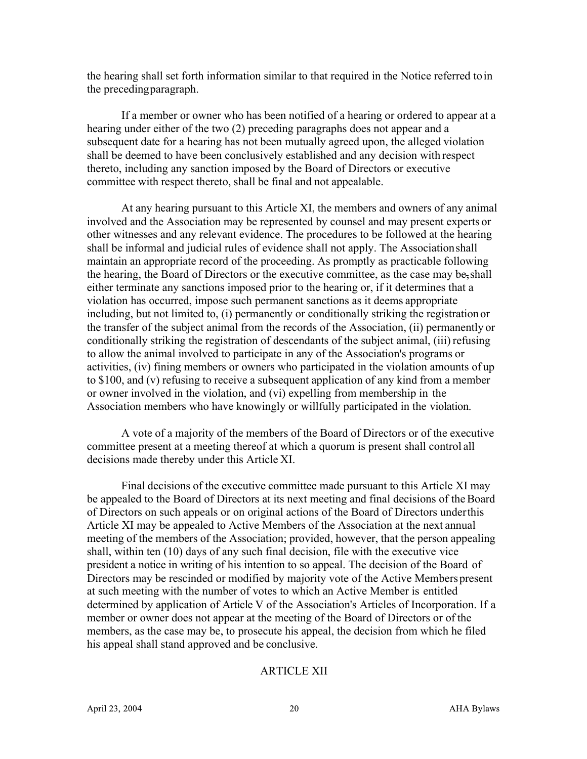the hearing shall set forth information similar to that required in the Notice referred toin the precedingparagraph.

If a member or owner who has been notified of a hearing or ordered to appear at a hearing under either of the two (2) preceding paragraphs does not appear and a subsequent date for a hearing has not been mutually agreed upon, the alleged violation shall be deemed to have been conclusively established and any decision with respect thereto, including any sanction imposed by the Board of Directors or executive committee with respect thereto, shall be final and not appealable.

At any hearing pursuant to this Article XI, the members and owners of any animal involved and the Association may be represented by counsel and may present experts or other witnesses and any relevant evidence. The procedures to be followed at the hearing shall be informal and judicial rules of evidence shall not apply. The Associationshall maintain an appropriate record of the proceeding. As promptly as practicable following the hearing, the Board of Directors or the executive committee, as the case may be,shall either terminate any sanctions imposed prior to the hearing or, if it determines that a violation has occurred, impose such permanent sanctions as it deems appropriate including, but not limited to, (i) permanently or conditionally striking the registration or the transfer of the subject animal from the records of the Association, (ii) permanently or conditionally striking the registration of descendants of the subject animal, (iii) refusing to allow the animal involved to participate in any of the Association's programs or activities, (iv) fining members or owners who participated in the violation amounts of up to \$100, and (v) refusing to receive a subsequent application of any kind from a member or owner involved in the violation, and (vi) expelling from membership in the Association members who have knowingly or willfully participated in the violation.

A vote of a majority of the members of the Board of Directors or of the executive committee present at a meeting thereof at which a quorum is present shall control all decisions made thereby under this Article XI.

Final decisions of the executive committee made pursuant to this Article XI may be appealed to the Board of Directors at its next meeting and final decisions of theBoard of Directors on such appeals or on original actions of the Board of Directors underthis Article XI may be appealed to Active Members of the Association at the next annual meeting of the members of the Association; provided, however, that the person appealing shall, within ten (10) days of any such final decision, file with the executive vice president a notice in writing of his intention to so appeal. The decision of the Board of Directors may be rescinded or modified by majority vote of the Active Memberspresent at such meeting with the number of votes to which an Active Member is entitled determined by application of Article V of the Association's Articles of Incorporation. If a member or owner does not appear at the meeting of the Board of Directors or of the members, as the case may be, to prosecute his appeal, the decision from which he filed his appeal shall stand approved and be conclusive.

#### ARTICLE XII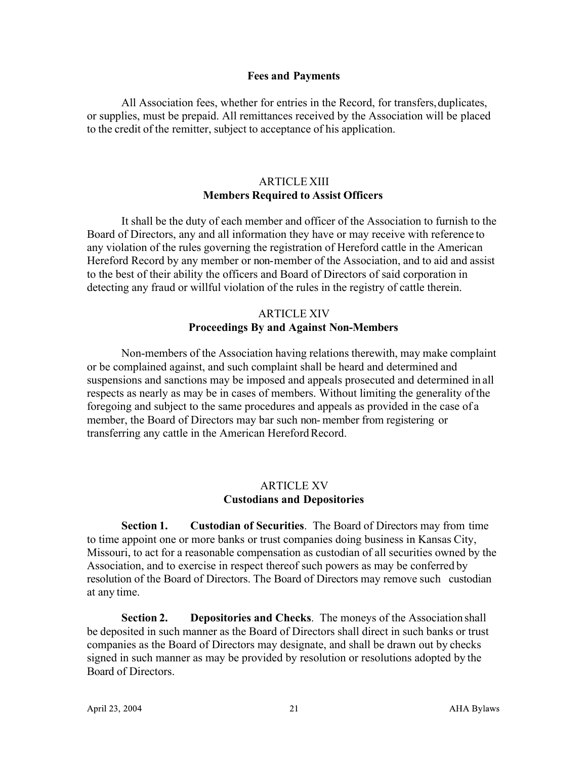#### **Fees and Payments**

All Association fees, whether for entries in the Record, for transfers,duplicates, or supplies, must be prepaid. All remittances received by the Association will be placed to the credit of the remitter, subject to acceptance of his application.

# ARTICLE XIII **Members Required to Assist Officers**

It shall be the duty of each member and officer of the Association to furnish to the Board of Directors, any and all information they have or may receive with reference to any violation of the rules governing the registration of Hereford cattle in the American Hereford Record by any member or non-member of the Association, and to aid and assist to the best of their ability the officers and Board of Directors of said corporation in detecting any fraud or willful violation of the rules in the registry of cattle therein.

# ARTICLE XIV **Proceedings By and Against Non-Members**

Non-members of the Association having relations therewith, may make complaint or be complained against, and such complaint shall be heard and determined and suspensions and sanctions may be imposed and appeals prosecuted and determined in all respects as nearly as may be in cases of members. Without limiting the generality ofthe foregoing and subject to the same procedures and appeals as provided in the case of a member, the Board of Directors may bar such non- member from registering or transferring any cattle in the American Hereford Record.

## ARTICLE XV **Custodians and Depositories**

**Section 1. Custodian of Securities**. The Board of Directors may from time to time appoint one or more banks or trust companies doing business in Kansas City, Missouri, to act for a reasonable compensation as custodian of all securities owned by the Association, and to exercise in respect thereof such powers as may be conferred by resolution of the Board of Directors. The Board of Directors may remove such custodian at any time.

**Section 2. Depositories and Checks**. The moneys of the Association shall be deposited in such manner as the Board of Directors shall direct in such banks or trust companies as the Board of Directors may designate, and shall be drawn out by checks signed in such manner as may be provided by resolution or resolutions adopted by the Board of Directors.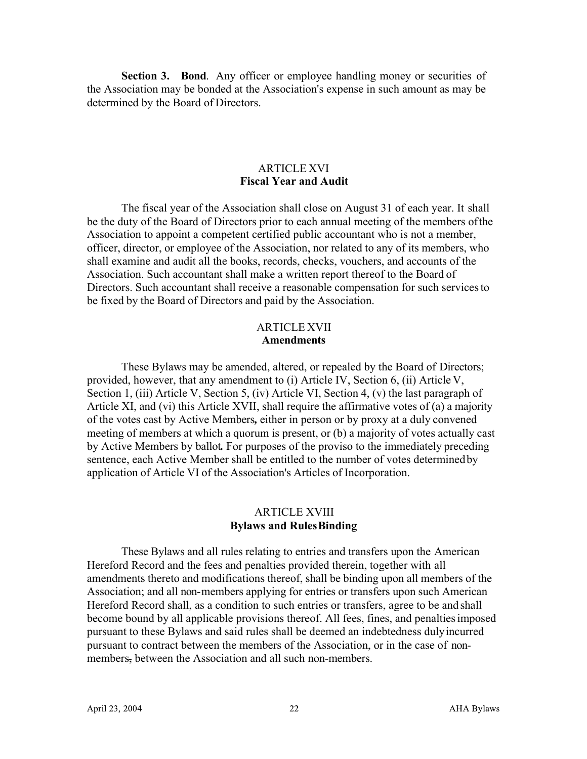**Section 3. Bond.** Any officer or employee handling money or securities of the Association may be bonded at the Association's expense in such amount as may be determined by the Board of Directors.

# ARTICLE XVI **Fiscal Year and Audit**

The fiscal year of the Association shall close on August 31 of each year. It shall be the duty of the Board of Directors prior to each annual meeting of the members ofthe Association to appoint a competent certified public accountant who is not a member, officer, director, or employee of the Association, nor related to any of its members, who shall examine and audit all the books, records, checks, vouchers, and accounts of the Association. Such accountant shall make a written report thereof to the Board of Directors. Such accountant shall receive a reasonable compensation for such servicesto be fixed by the Board of Directors and paid by the Association.

### ARTICLE XVII **Amendments**

These Bylaws may be amended, altered, or repealed by the Board of Directors; provided, however, that any amendment to (i) Article IV, Section 6, (ii) Article V, Section 1, (iii) Article V, Section 5, (iv) Article VI, Section 4, (v) the last paragraph of Article XI, and (vi) this Article XVII, shall require the affirmative votes of (a) a majority of the votes cast by Active Members*,* either in person or by proxy at a duly convened meeting of members at which a quorum is present, or (b) a majority of votes actually cast by Active Members by ballot*.* For purposes of the proviso to the immediately preceding sentence, each Active Member shall be entitled to the number of votes determinedby application of Article VI of the Association's Articles of Incorporation.

# ARTICLE XVIII **Bylaws and RulesBinding**

These Bylaws and all rules relating to entries and transfers upon the American Hereford Record and the fees and penalties provided therein, together with all amendments thereto and modifications thereof, shall be binding upon all members of the Association; and all non-members applying for entries or transfers upon such American Hereford Record shall, as a condition to such entries or transfers, agree to be and shall become bound by all applicable provisions thereof. All fees, fines, and penaltiesimposed pursuant to these Bylaws and said rules shall be deemed an indebtedness dulyincurred pursuant to contract between the members of the Association, or in the case of nonmembers, between the Association and all such non-members.